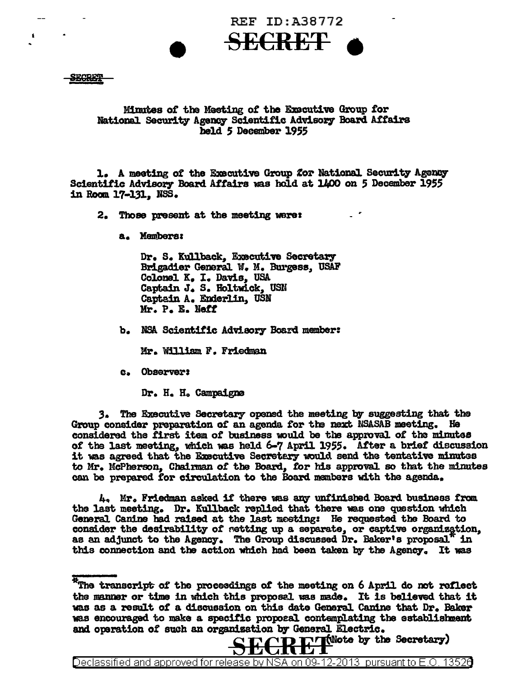

SECRET

## Minutes of the Meeting of the Executive Group for National Security Agency Scientific Advisory Board Affairs held 5 December 1955

1. A meeting of the Executive Group for National Security Agency Scientific Advisory Board Affairs was hold at 1400 on 5 December 1955 in Room 17-131. NSS.

2. Those present at the meeting were:

a. Membere1

Dr. S. Kullback, Executive Secretary Brigadier General W. M. Burgess, USAF Colonel K. I. Davis, USA Captain J. S. Holtwick, USN Captain A. Enderlin, USN Mr. P. E. Neff

b. NSA Scientific Advisory Board member:

Mr. William F. Friedman

c. Observers

Dr. H. H. Campaigne

**3.** The Executive Secretary opened the meeting by suggesting that the Group consider preparation of an agenda for the next NSASAB meeting. He considered the first item of business would be the approval of the minutes *ot* the last meeting, which was held 6-7 April 19SS. Atter a. brief discussion it was agreed that the Executive Secretary would send the tentative minutes to Mr. McPherson,, Chairman *ot* the Board,, tor his approval. so that the minutes can be prepared for circulation to the Board members with the agenda.

4q Mr. Friedman asked it there was &D\V' unf'inisbed Board business *tram*  the last meeting. Dr. Kullback replied that there was one question which General Canine had raised at the last meeting: He requested the Board to consider the desirability of *retting* up a separate, or captive organization, as an adjunct to the Agency. The Group discussed Dr. Baker's proposal<sup> $\pi$ </sup> in this connection and the action which had been taken by the Agency. It was

Declassified and approved for release by NSA on 09-12-2013 pursuantto E .0. 1352a

<sup>\*</sup>The transcript of the proceedings of the meeting on 6 April do not reflect the manner or time in which this proposal was made. It is believed that it was as a resu1t *ot* a discussion on this date Genera.l Canine that Dr. Baker was encouraged to make a specific proposal contemplating the establishment and operation of such an organization by General Electric.<br> $C \Gamma C \Gamma$   $\Gamma$ <sup>r</sup>f(Wote by the Secretary)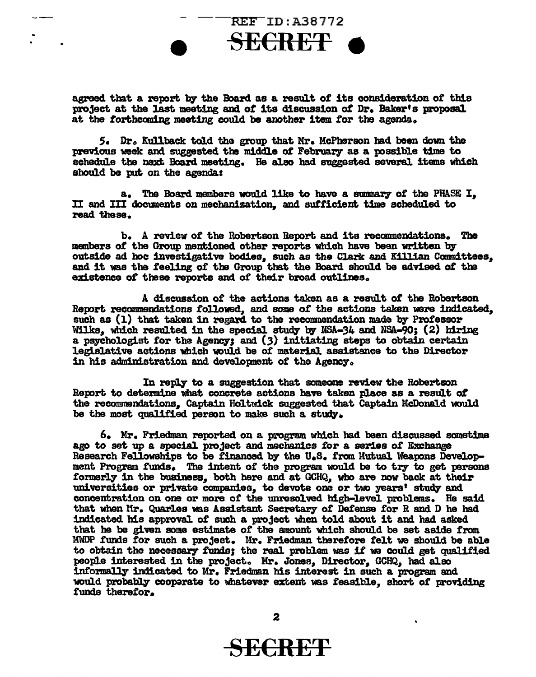

agreed that a report by the Board as a result of its consideration of this project at the 1ast meeting and *ot* its discussion *ot* Dr. Baker's proposal at the forthcoming meeting could be another item for the agenda.

*s.* Dro Kullback told the group that Mr. McPherson had been down the previous week and suggested the middle of February as a possible time to schedule the next Board meeting. He also had suggested several items which should be put on the agenda:

a. The Board members would like to have a summary of the PHASE I, II and III documents on mechanization, and sufficient time scheduled to read these.

b. A review of the Robertson Report and its recommendations. The members of the Group mentioned other reports which have been written by outside ad hoc investigative bodies, such as the Clark and Killian Committees, and it was the feeling of the Group that the Board should be advised of the existence of these reports and of their broad outlines.

A discussion of the actions taken as a result of the Robertson Report recommendations followed, and some of the actions taken were indicated, such as ( l) that taken in regard to the recommendation made by Professor Wilks, which resulted in the special study by NSA-34 and NSA-90; (2) hiring a psychologist for the Agency; and  $(3)$  initiating steps to obtain certain legislative actions which would be of material assistance to the Director in his administration and development of the Agency.

In reply to a suggestion that someone review the Robertson Report to determine what concrete actions have taken place as a result of the recommendations. Captain Holtwick suggested that Captain McDonald would be the most qualified person to make such a study.

6. Mr. Friedman reported on a program which bad been discussed sometime ago to set up a special project and mechanics for a series of Exchange Research Fellowships to be financed by the U.S. from Mutual Weapons Development Program funds. The intent of the program would be to try to get persons formerly in the business, both here and at GCHQ, who are now back at their universities or private companies, to devote one or two years• study and concentration on one or more *ot* the unreso1ved high-leve1 problems. He said that when Hr. Quarles was Assistant Secretary of Defense for R and D he had indicated his approval of such a project when told about it and had asked that he be giwn some estimate or the amount which should be set aside *trom.*  MWDP funds for such a project. Mr. Friedman therefore felt we should be able to obtain the necessary funds; the real problem was if we could get qualified peop1e interested 1n the project. Mr. Jones, Director,, GCHQ, bad al.so informally indicated to Mr. Friedman his interest in such a program and would probably cooperate to whatever extent was feasible, short of providing funds therefor.

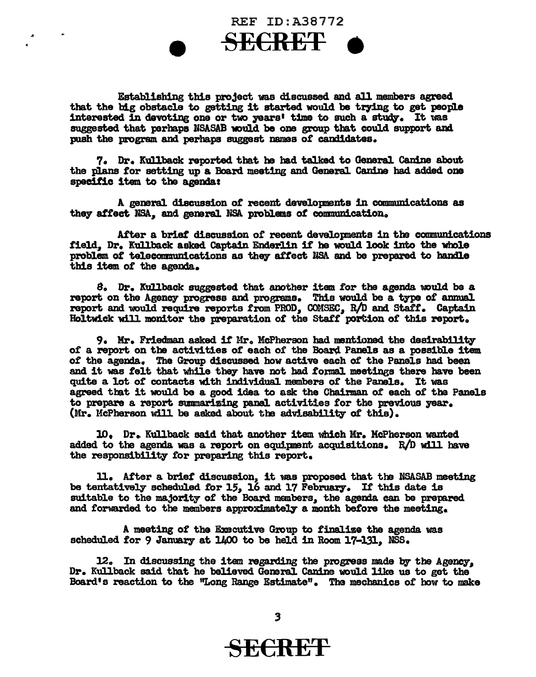REF ID:A38772 SE€RE'f •

Establishing this project was discussed and all members agreed that the big obstacle to getting it started would be trying to get people interested in devoting one or two years' time to such a study. It was suggested that perhaps NSASAB would be one group that could support and push the program and perhaps suggest names *ot* candidates.

7. Dr. Kullback reported that he had talked to General Canine about the plans for setting up a Board meeting and General. Canine had added one specitic item to the agendas

A general discussion of recent developments in communications as they affect NSA, and general NSA problems of communication.

After a brief discussion of recent developments in the communications field,, Dr. Kullback asked Captain Enderlin it he would look into the whole problem of telecommunications as they affect NSA and be prepared to handle this item or the agenda.

s. Dr. Kullback suggested. that another item. tor the agenda muld. be a report on the Agency progress and programs. This would be a type of annual report and would require reports from PROD, COMSEC, R/D and Staff. Captain Holtwick will monitor the preparation of the Staff portion of this report.

**9. Mr. Friedman asked if Mr. McPherson had mentioned the desirability** of a report on the activities of each of the Board Panels as a possible item of the agenda. The Group discussed how active each of the Panels had been and it was felt that while they have not had formal meetings there have been quite a lot *ot* contacts with indi'ddual. members *ot* the Pamls. It was agreed that it would be a good idea to ask the Chairman o£ each of tba Panels to prepare a report summarizing panel activities for the previous year. (Mr. McPherson will be asked about the advisability of this).

10. Dr. Kullback said that another item which Mr. McPherson wanted added to the agenda was a report on equipment acquisitions.  $R/D$  will have the responsibility tor preparlng this report.

11. After a brief discussion, it was proposed. that the NSASAB meeting be tentatively scheduled for 15, 16 and 17 February. If this date is suitable to the majority *ot* the Board manbers. the agenda can be prepared and forwarded to the members approximately a month before the meeting.

A meeting *ot* the Executive Group to finalize the agenda was scheduled for 9 January at 1400 to be held in Room 17-131. NSS.

12. In discussing the item regarding the progress made by the Agency, Dr. Kullback said that he believed General Canine would like us to get the Board's reaction to the "Long Range Estimate". The mechanics of how to make

## SE€RE'F